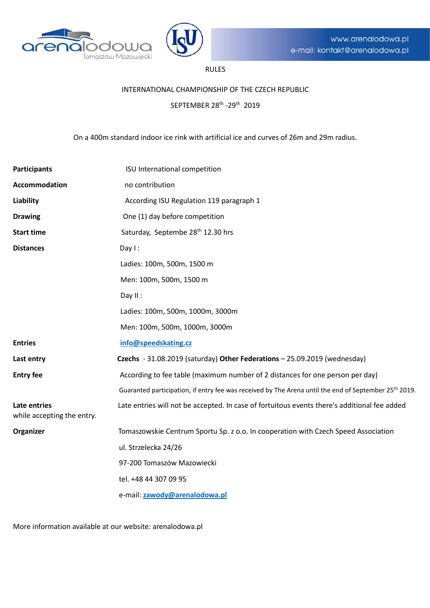



# RULES

## INTERNATIONAL CHAMPIONSHIP OF THE CZECH REPUBLIC

SEPTEMBER 28th -29th 2019

On a 400m standard indoor ice rink with artificial ice and curves of 26m and 29m radius.

| <b>Participants</b>                        | ISU International competition                                                                                     |
|--------------------------------------------|-------------------------------------------------------------------------------------------------------------------|
| Accommodation                              | no contribution                                                                                                   |
| <b>Liability</b>                           | According ISU Regulation 119 paragraph 1                                                                          |
| <b>Drawing</b>                             | One (1) day before competition                                                                                    |
| <b>Start time</b>                          | Saturday, Septembe 28 <sup>th</sup> 12.30 hrs                                                                     |
| <b>Distances</b>                           | Day $l$ :                                                                                                         |
|                                            | Ladies: 100m, 500m, 1500 m                                                                                        |
|                                            | Men: 100m, 500m, 1500 m                                                                                           |
|                                            | Day II:                                                                                                           |
|                                            | Ladies: 100m, 500m, 1000m, 3000m                                                                                  |
|                                            | Men: 100m, 500m, 1000m, 3000m                                                                                     |
| <b>Entries</b>                             | info@speedskating.cz                                                                                              |
| Last entry                                 | Czechs - 31.08.2019 (saturday) Other Federations - 25.09.2019 (wednesday)                                         |
| <b>Entry fee</b>                           | According to fee table (maximum number of 2 distances for one person per day)                                     |
|                                            | Guaranted participation, if entry fee was received by The Arena until the end of September 25 <sup>th</sup> 2019. |
| Late entries<br>while accepting the entry. | Late entries will not be accepted. In case of fortuitous events there's additional fee added                      |
| Organizer                                  | Tomaszowskie Centrum Sportu Sp. z o.o. In cooperation with Czech Speed Association                                |
|                                            | ul. Strzelecka 24/26                                                                                              |
|                                            | 97-200 Tomaszów Mazowiecki                                                                                        |
|                                            | tel. +48 44 307 09 95                                                                                             |
|                                            | e-mail: zawody@arenalodowa.pl                                                                                     |

More information available at our website: arenalodowa.pl